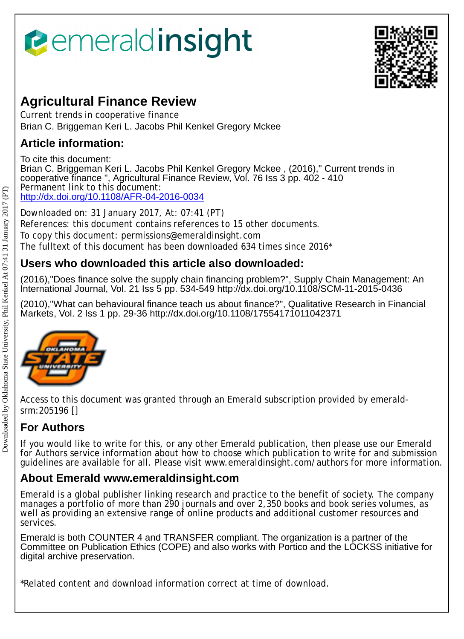# *<u><b>emeraldinsight</u>*



## **Agricultural Finance Review**

Current trends in cooperative finance Brian C. Briggeman Keri L. Jacobs Phil Kenkel Gregory Mckee

## **Article information:**

To cite this document: Brian C. Briggeman Keri L. Jacobs Phil Kenkel Gregory Mckee , (2016)," Current trends in cooperative finance ", Agricultural Finance Review, Vol. 76 Iss 3 pp. 402 - 410 Permanent link to this document: <http://dx.doi.org/10.1108/AFR-04-2016-0034>

Downloaded on: 31 January 2017, At: 07:41 (PT) References: this document contains references to 15 other documents. To copy this document: permissions@emeraldinsight.com The fulltext of this document has been downloaded 634 times since 2016\*

## **Users who downloaded this article also downloaded:**

(2016),"Does finance solve the supply chain financing problem?", Supply Chain Management: An International Journal, Vol. 21 Iss 5 pp. 534-549 http://dx.doi.org/10.1108/SCM-11-2015-0436

(2010),"What can behavioural finance teach us about finance?", Qualitative Research in Financial Markets, Vol. 2 Iss 1 pp. 29-36 http://dx.doi.org/10.1108/17554171011042371



Access to this document was granted through an Emerald subscription provided by emeraldsrm:205196 []

## **For Authors**

If you would like to write for this, or any other Emerald publication, then please use our Emerald for Authors service information about how to choose which publication to write for and submission guidelines are available for all. Please visit www.emeraldinsight.com/authors for more information.

### **About Emerald www.emeraldinsight.com**

Emerald is a global publisher linking research and practice to the benefit of society. The company manages a portfolio of more than 290 journals and over 2,350 books and book series volumes, as well as providing an extensive range of online products and additional customer resources and services.

Emerald is both COUNTER 4 and TRANSFER compliant. The organization is a partner of the Committee on Publication Ethics (COPE) and also works with Portico and the LOCKSS initiative for digital archive preservation.

\*Related content and download information correct at time of download.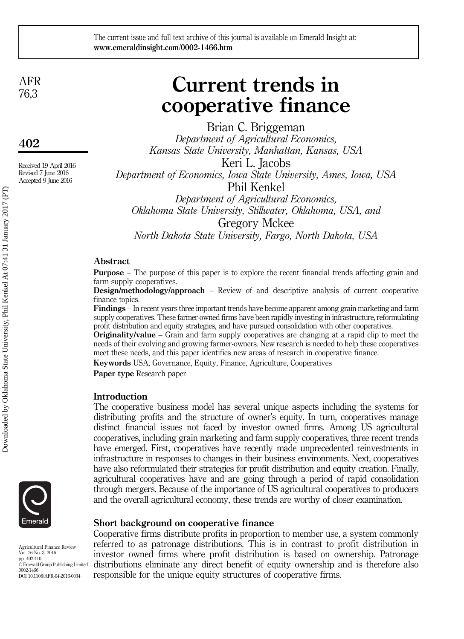AFR 76,3

402

Received 19 April 2016 Revised 7 June 2016 Accepted 9 June 2016

## Current trends in cooperative finance

Brian C. Briggeman Department of Agricultural Economics,

Kansas State University, Manhattan, Kansas, USA

Keri L. Jacobs

Department of Economics, Iowa State University, Ames, Iowa, USA

Phil Kenkel

Department of Agricultural Economics, Oklahoma State University, Stillwater, Oklahoma, USA, and Gregory Mckee

North Dakota State University, Fargo, North Dakota, USA

#### Abstract

Purpose – The purpose of this paper is to explore the recent financial trends affecting grain and farm supply cooperatives.

Design/methodology/approach – Review of and descriptive analysis of current cooperative finance topics.

Findings – In recent years three important trends have become apparent among grain marketing and farm supply cooperatives. These farmer-owned firms have been rapidly investing in infrastructure, reformulating profit distribution and equity strategies, and have pursued consolidation with other cooperatives.

**Originality/value** – Grain and farm supply cooperatives are changing at a rapid clip to meet the needs of their evolving and growing farmer-owners. New research is needed to help these cooperatives meet these needs, and this paper identifies new areas of research in cooperative finance.

Keywords USA, Governance, Equity, Finance, Agriculture, Cooperatives

Paper type Research paper

#### Introduction

The cooperative business model has several unique aspects including the systems for distributing profits and the structure of owner's equity. In turn, cooperatives manage distinct financial issues not faced by investor owned firms. Among US agricultural cooperatives, including grain marketing and farm supply cooperatives, three recent trends have emerged. First, cooperatives have recently made unprecedented reinvestments in infrastructure in responses to changes in their business environments. Next, cooperatives have also reformulated their strategies for profit distribution and equity creation. Finally, agricultural cooperatives have and are going through a period of rapid consolidation through mergers. Because of the importance of US agricultural cooperatives to producers and the overall agricultural economy, these trends are worthy of closer examination.



Agricultural Finance Review Vol. 76 No. 3, 2016 pp. 402-410 © Emerald Group Publishing Limited 0002-1466 DOI 10.1108/AFR-04-2016-0034

Cooperative firms distribute profits in proportion to member use, a system commonly referred to as patronage distributions. This is in contrast to profit distribution in investor owned firms where profit distribution is based on ownership. Patronage distributions eliminate any direct benefit of equity ownership and is therefore also responsible for the unique equity structures of cooperative firms.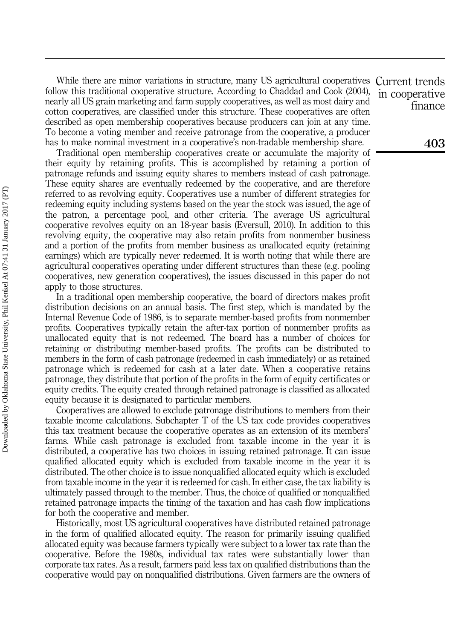While there are minor variations in structure, many US agricultural cooperatives Current trends follow this traditional cooperative structure. According to Chaddad and Cook (2004), nearly all US grain marketing and farm supply cooperatives, as well as most dairy and cotton cooperatives, are classified under this structure. These cooperatives are often described as open membership cooperatives because producers can join at any time. To become a voting member and receive patronage from the cooperative, a producer has to make nominal investment in a cooperative's non-tradable membership share.

Traditional open membership cooperatives create or accumulate the majority of their equity by retaining profits. This is accomplished by retaining a portion of patronage refunds and issuing equity shares to members instead of cash patronage. These equity shares are eventually redeemed by the cooperative, and are therefore referred to as revolving equity. Cooperatives use a number of different strategies for redeeming equity including systems based on the year the stock was issued, the age of the patron, a percentage pool, and other criteria. The average US agricultural cooperative revolves equity on an 18-year basis (Eversull, 2010). In addition to this revolving equity, the cooperative may also retain profits from nonmember business and a portion of the profits from member business as unallocated equity (retaining earnings) which are typically never redeemed. It is worth noting that while there are agricultural cooperatives operating under different structures than these (e.g. pooling cooperatives, new generation cooperatives), the issues discussed in this paper do not apply to those structures.

In a traditional open membership cooperative, the board of directors makes profit distribution decisions on an annual basis. The first step, which is mandated by the Internal Revenue Code of 1986, is to separate member-based profits from nonmember profits. Cooperatives typically retain the after-tax portion of nonmember profits as unallocated equity that is not redeemed. The board has a number of choices for retaining or distributing member-based profits. The profits can be distributed to members in the form of cash patronage (redeemed in cash immediately) or as retained patronage which is redeemed for cash at a later date. When a cooperative retains patronage, they distribute that portion of the profits in the form of equity certificates or equity credits. The equity created through retained patronage is classified as allocated equity because it is designated to particular members.

Cooperatives are allowed to exclude patronage distributions to members from their taxable income calculations. Subchapter T of the US tax code provides cooperatives this tax treatment because the cooperative operates as an extension of its members' farms. While cash patronage is excluded from taxable income in the year it is distributed, a cooperative has two choices in issuing retained patronage. It can issue qualified allocated equity which is excluded from taxable income in the year it is distributed. The other choice is to issue nonqualified allocated equity which is excluded from taxable income in the year it is redeemed for cash. In either case, the tax liability is ultimately passed through to the member. Thus, the choice of qualified or nonqualified retained patronage impacts the timing of the taxation and has cash flow implications for both the cooperative and member.

Historically, most US agricultural cooperatives have distributed retained patronage in the form of qualified allocated equity. The reason for primarily issuing qualified allocated equity was because farmers typically were subject to a lower tax rate than the cooperative. Before the 1980s, individual tax rates were substantially lower than corporate tax rates. As a result, farmers paid less tax on qualified distributions than the cooperative would pay on nonqualified distributions. Given farmers are the owners of

in cooperative finance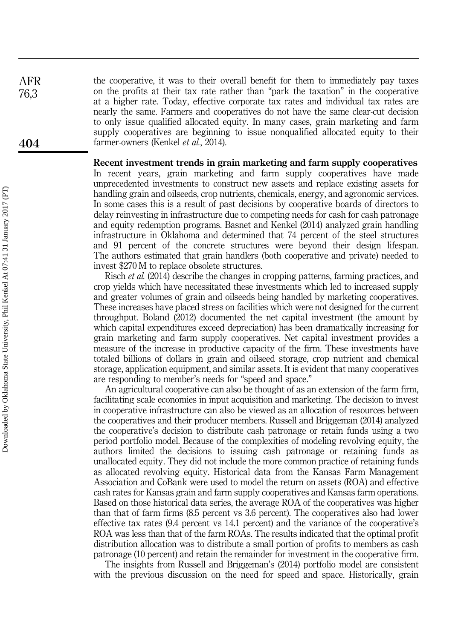the cooperative, it was to their overall benefit for them to immediately pay taxes on the profits at their tax rate rather than "park the taxation" in the cooperative at a higher rate. Today, effective corporate tax rates and individual tax rates are nearly the same. Farmers and cooperatives do not have the same clear-cut decision to only issue qualified allocated equity. In many cases, grain marketing and farm supply cooperatives are beginning to issue nonqualified allocated equity to their farmer-owners (Kenkel et al., 2014).

Recent investment trends in grain marketing and farm supply cooperatives

In recent years, grain marketing and farm supply cooperatives have made unprecedented investments to construct new assets and replace existing assets for handling grain and oilseeds, crop nutrients, chemicals, energy, and agronomic services. In some cases this is a result of past decisions by cooperative boards of directors to delay reinvesting in infrastructure due to competing needs for cash for cash patronage and equity redemption programs. Basnet and Kenkel (2014) analyzed grain handling infrastructure in Oklahoma and determined that 74 percent of the steel structures and 91 percent of the concrete structures were beyond their design lifespan. The authors estimated that grain handlers (both cooperative and private) needed to invest \$270 M to replace obsolete structures.

Risch et al. (2014) describe the changes in cropping patterns, farming practices, and crop yields which have necessitated these investments which led to increased supply and greater volumes of grain and oilseeds being handled by marketing cooperatives. These increases have placed stress on facilities which were not designed for the current throughput. Boland (2012) documented the net capital investment (the amount by which capital expenditures exceed depreciation) has been dramatically increasing for grain marketing and farm supply cooperatives. Net capital investment provides a measure of the increase in productive capacity of the firm. These investments have totaled billions of dollars in grain and oilseed storage, crop nutrient and chemical storage, application equipment, and similar assets. It is evident that many cooperatives are responding to member's needs for "speed and space."

An agricultural cooperative can also be thought of as an extension of the farm firm, facilitating scale economies in input acquisition and marketing. The decision to invest in cooperative infrastructure can also be viewed as an allocation of resources between the cooperatives and their producer members. Russell and Briggeman (2014) analyzed the cooperative's decision to distribute cash patronage or retain funds using a two period portfolio model. Because of the complexities of modeling revolving equity, the authors limited the decisions to issuing cash patronage or retaining funds as unallocated equity. They did not include the more common practice of retaining funds as allocated revolving equity. Historical data from the Kansas Farm Management Association and CoBank were used to model the return on assets (ROA) and effective cash rates for Kansas grain and farm supply cooperatives and Kansas farm operations. Based on those historical data series, the average ROA of the cooperatives was higher than that of farm firms (8.5 percent vs 3.6 percent). The cooperatives also had lower effective tax rates (9.4 percent vs 14.1 percent) and the variance of the cooperative's ROA was less than that of the farm ROAs. The results indicated that the optimal profit distribution allocation was to distribute a small portion of profits to members as cash patronage (10 percent) and retain the remainder for investment in the cooperative firm.

The insights from Russell and Briggeman's (2014) portfolio model are consistent with the previous discussion on the need for speed and space. Historically, grain

AFR 76,3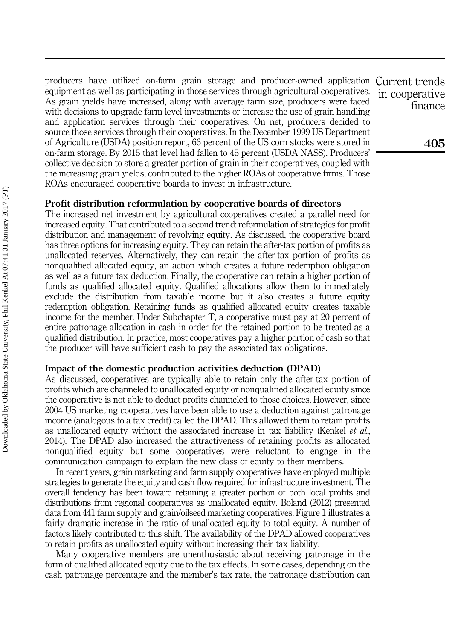producers have utilized on-farm grain storage and producer-owned application Current trends equipment as well as participating in those services through agricultural cooperatives. As grain yields have increased, along with average farm size, producers were faced with decisions to upgrade farm level investments or increase the use of grain handling and application services through their cooperatives. On net, producers decided to source those services through their cooperatives. In the December 1999 US Department of Agriculture (USDA) position report, 66 percent of the US corn stocks were stored in on-farm storage. By 2015 that level had fallen to 45 percent (USDA NASS). Producers' collective decision to store a greater portion of grain in their cooperatives, coupled with the increasing grain yields, contributed to the higher ROAs of cooperative firms. Those ROAs encouraged cooperative boards to invest in infrastructure.

#### Profit distribution reformulation by cooperative boards of directors

The increased net investment by agricultural cooperatives created a parallel need for increased equity. That contributed to a second trend: reformulation of strategies for profit distribution and management of revolving equity. As discussed, the cooperative board has three options for increasing equity. They can retain the after-tax portion of profits as unallocated reserves. Alternatively, they can retain the after-tax portion of profits as nonqualified allocated equity, an action which creates a future redemption obligation as well as a future tax deduction. Finally, the cooperative can retain a higher portion of funds as qualified allocated equity. Qualified allocations allow them to immediately exclude the distribution from taxable income but it also creates a future equity redemption obligation. Retaining funds as qualified allocated equity creates taxable income for the member. Under Subchapter T, a cooperative must pay at 20 percent of entire patronage allocation in cash in order for the retained portion to be treated as a qualified distribution. In practice, most cooperatives pay a higher portion of cash so that the producer will have sufficient cash to pay the associated tax obligations.

#### Impact of the domestic production activities deduction (DPAD)

As discussed, cooperatives are typically able to retain only the after-tax portion of profits which are channeled to unallocated equity or nonqualified allocated equity since the cooperative is not able to deduct profits channeled to those choices. However, since 2004 US marketing cooperatives have been able to use a deduction against patronage income (analogous to a tax credit) called the DPAD. This allowed them to retain profits as unallocated equity without the associated increase in tax liability (Kenkel *et al.*, 2014). The DPAD also increased the attractiveness of retaining profits as allocated nonqualified equity but some cooperatives were reluctant to engage in the communication campaign to explain the new class of equity to their members.

In recent years, grain marketing and farm supply cooperatives have employed multiple strategies to generate the equity and cash flow required for infrastructure investment. The overall tendency has been toward retaining a greater portion of both local profits and distributions from regional cooperatives as unallocated equity. Boland (2012) presented data from 441 farm supply and grain/oilseed marketing cooperatives. Figure 1 illustrates a fairly dramatic increase in the ratio of unallocated equity to total equity. A number of factors likely contributed to this shift. The availability of the DPAD allowed cooperatives to retain profits as unallocated equity without increasing their tax liability.

Many cooperative members are unenthusiastic about receiving patronage in the form of qualified allocated equity due to the tax effects. In some cases, depending on the cash patronage percentage and the member's tax rate, the patronage distribution can

in cooperative finance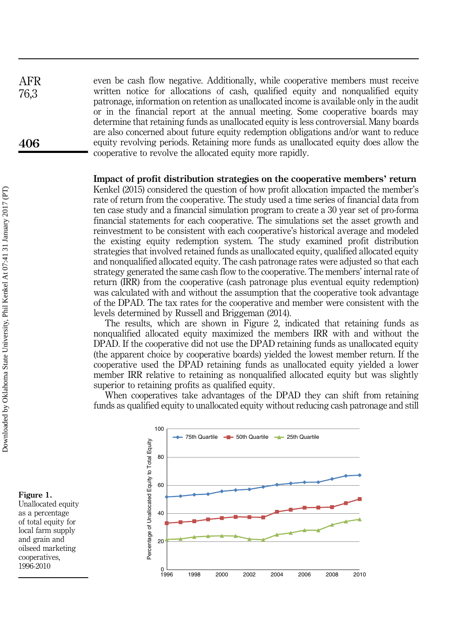even be cash flow negative. Additionally, while cooperative members must receive written notice for allocations of cash, qualified equity and nonqualified equity patronage, information on retention as unallocated income is available only in the audit or in the financial report at the annual meeting. Some cooperative boards may determine that retaining funds as unallocated equity is less controversial. Many boards are also concerned about future equity redemption obligations and/or want to reduce equity revolving periods. Retaining more funds as unallocated equity does allow the cooperative to revolve the allocated equity more rapidly.

#### Impact of profit distribution strategies on the cooperative members' return

Kenkel (2015) considered the question of how profit allocation impacted the member's rate of return from the cooperative. The study used a time series of financial data from ten case study and a financial simulation program to create a 30 year set of pro-forma financial statements for each cooperative. The simulations set the asset growth and reinvestment to be consistent with each cooperative's historical average and modeled the existing equity redemption system. The study examined profit distribution strategies that involved retained funds as unallocated equity, qualified allocated equity and nonqualified allocated equity. The cash patronage rates were adjusted so that each strategy generated the same cash flow to the cooperative. The members' internal rate of return (IRR) from the cooperative (cash patronage plus eventual equity redemption) was calculated with and without the assumption that the cooperative took advantage of the DPAD. The tax rates for the cooperative and member were consistent with the levels determined by Russell and Briggeman (2014).

The results, which are shown in Figure 2, indicated that retaining funds as nonqualified allocated equity maximized the members IRR with and without the DPAD. If the cooperative did not use the DPAD retaining funds as unallocated equity (the apparent choice by cooperative boards) yielded the lowest member return. If the cooperative used the DPAD retaining funds as unallocated equity yielded a lower member IRR relative to retaining as nonqualified allocated equity but was slightly superior to retaining profits as qualified equity.

When cooperatives take advantages of the DPAD they can shift from retaining funds as qualified equity to unallocated equity without reducing cash patronage and still



Figure 1. Unallocated equity as a percentage of total equity for local farm supply and grain and oilseed marketing cooperatives, 1996-2010

406

AFR 76,3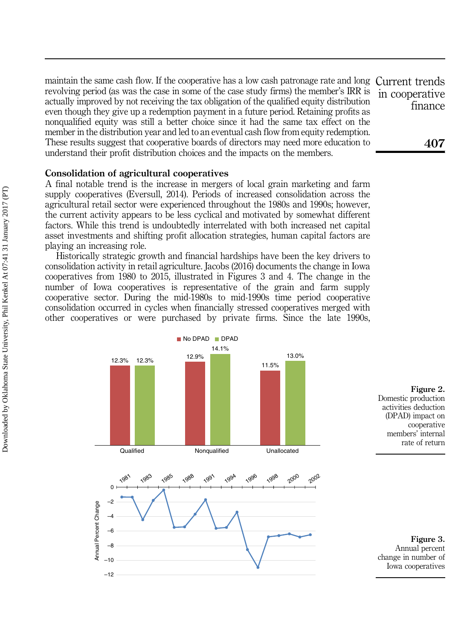maintain the same cash flow. If the cooperative has a low cash patronage rate and long Current trends revolving period (as was the case in some of the case study firms) the member's IRR is actually improved by not receiving the tax obligation of the qualified equity distribution even though they give up a redemption payment in a future period. Retaining profits as nonqualified equity was still a better choice since it had the same tax effect on the member in the distribution year and led to an eventual cash flow from equity redemption. These results suggest that cooperative boards of directors may need more education to understand their profit distribution choices and the impacts on the members.

#### Consolidation of agricultural cooperatives

A final notable trend is the increase in mergers of local grain marketing and farm supply cooperatives (Eversull, 2014). Periods of increased consolidation across the agricultural retail sector were experienced throughout the 1980s and 1990s; however, the current activity appears to be less cyclical and motivated by somewhat different factors. While this trend is undoubtedly interrelated with both increased net capital asset investments and shifting profit allocation strategies, human capital factors are playing an increasing role.

Historically strategic growth and financial hardships have been the key drivers to consolidation activity in retail agriculture. Jacobs (2016) documents the change in Iowa cooperatives from 1980 to 2015, illustrated in Figures 3 and 4. The change in the number of Iowa cooperatives is representative of the grain and farm supply cooperative sector. During the mid-1980s to mid-1990s time period cooperative consolidation occurred in cycles when financially stressed cooperatives merged with other cooperatives or were purchased by private firms. Since the late 1990s,





407

finance

in cooperative

Annual percent change in number of Iowa cooperatives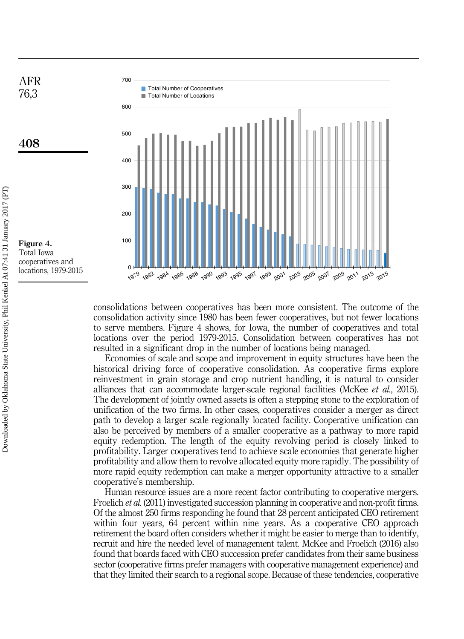AFR 76,3



consolidations between cooperatives has been more consistent. The outcome of the consolidation activity since 1980 has been fewer cooperatives, but not fewer locations to serve members. Figure 4 shows, for Iowa, the number of cooperatives and total locations over the period 1979-2015. Consolidation between cooperatives has not resulted in a significant drop in the number of locations being managed.

Economies of scale and scope and improvement in equity structures have been the historical driving force of cooperative consolidation. As cooperative firms explore reinvestment in grain storage and crop nutrient handling, it is natural to consider alliances that can accommodate larger-scale regional facilities (McKee et al., 2015). The development of jointly owned assets is often a stepping stone to the exploration of unification of the two firms. In other cases, cooperatives consider a merger as direct path to develop a larger scale regionally located facility. Cooperative unification can also be perceived by members of a smaller cooperative as a pathway to more rapid equity redemption. The length of the equity revolving period is closely linked to profitability. Larger cooperatives tend to achieve scale economies that generate higher profitability and allow them to revolve allocated equity more rapidly. The possibility of more rapid equity redemption can make a merger opportunity attractive to a smaller cooperative's membership.

Human resource issues are a more recent factor contributing to cooperative mergers. Froelich *et al.* (2011) investigated succession planning in cooperative and non-profit firms. Of the almost 250 firms responding he found that 28 percent anticipated CEO retirement within four years, 64 percent within nine years. As a cooperative CEO approach retirement the board often considers whether it might be easier to merge than to identify, recruit and hire the needed level of management talent. McKee and Froelich (2016) also found that boards faced with CEO succession prefer candidates from their same business sector (cooperative firms prefer managers with cooperative management experience) and that they limited their search to a regional scope. Because of these tendencies, cooperative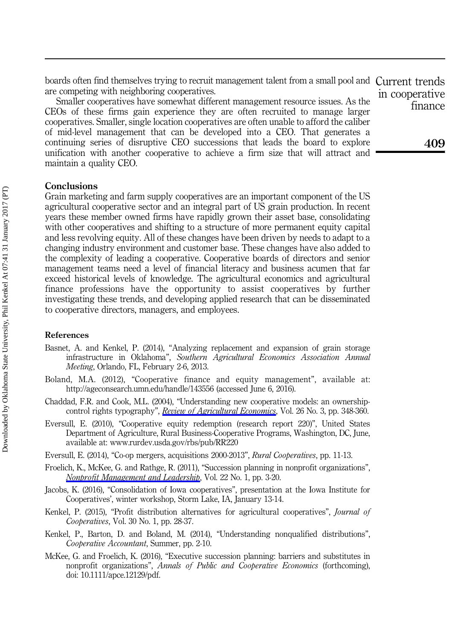boards often find themselves trying to recruit management talent from a small pool and Current trends are competing with neighboring cooperatives.

Smaller cooperatives have somewhat different management resource issues. As the CEOs of these firms gain experience they are often recruited to manage larger cooperatives. Smaller, single location cooperatives are often unable to afford the caliber of mid-level management that can be developed into a CEO. That generates a continuing series of disruptive CEO successions that leads the board to explore unification with another cooperative to achieve a firm size that will attract and maintain a quality CEO.

#### Conclusions

Grain marketing and farm supply cooperatives are an important component of the US agricultural cooperative sector and an integral part of US grain production. In recent years these member owned firms have rapidly grown their asset base, consolidating with other cooperatives and shifting to a structure of more permanent equity capital and less revolving equity. All of these changes have been driven by needs to adapt to a changing industry environment and customer base. These changes have also added to the complexity of leading a cooperative. Cooperative boards of directors and senior management teams need a level of financial literacy and business acumen that far exceed historical levels of knowledge. The agricultural economics and agricultural finance professions have the opportunity to assist cooperatives by further investigating these trends, and developing applied research that can be disseminated to cooperative directors, managers, and employees.

#### References

- Basnet, A. and Kenkel, P. (2014), "Analyzing replacement and expansion of grain storage infrastructure in Oklahoma", Southern Agricultural Economics Association Annual Meeting, Orlando, FL, February 2-6, 2013.
- Boland, M.A. (2012), "Cooperative finance and equity management", available at: <http://ageconsearch.umn.edu/handle/143556> (accessed June 6, 2016).
- Chaddad, F.R. and Cook, M.L. (2004), "Understanding new cooperative models: an ownership-control rights typography", [Review of Agricultural Economics](http://www.emeraldinsight.com/action/showLinks?crossref=10.1111%2Fj.1467-9353.2004.00184.x&isi=000223110400003), Vol. 26 No. 3, pp. 348-360.
- Eversull, E. (2010), "Cooperative equity redemption (research report 220)", United States Department of Agriculture, Rural Business-Cooperative Programs, Washington, DC, June, available at:<www.rurdev.usda.gov/rbs/pub/RR220>

Eversull, E. (2014), "Co-op mergers, acquisitions 2000-2013", Rural Cooperatives, pp. 11-13.

- Froelich, K., McKee, G. and Rathge, R. (2011), "Succession planning in nonprofit organizations", Nonbrofit Management and Leadership, Vol. 22 No. 1, pp. 3-20.
- Jacobs, K. (2016), "Consolidation of Iowa cooperatives", presentation at the Iowa Institute for Cooperatives', winter workshop, Storm Lake, IA, January 13-14.
- Kenkel, P. (2015), "Profit distribution alternatives for agricultural cooperatives", *Journal of* Cooperatives, Vol. 30 No. 1, pp. 28-37.
- Kenkel, P., Barton, D. and Boland, M. (2014), "Understanding nonqualified distributions", Cooperative Accountant, Summer, pp. 2-10.
- McKee, G. and Froelich, K. (2016), "Executive succession planning: barriers and substitutes in nonprofit organizations", Annals of Public and Cooperative Economics (forthcoming), doi: 10.1111/apce.12129/pdf.

in cooperative finance